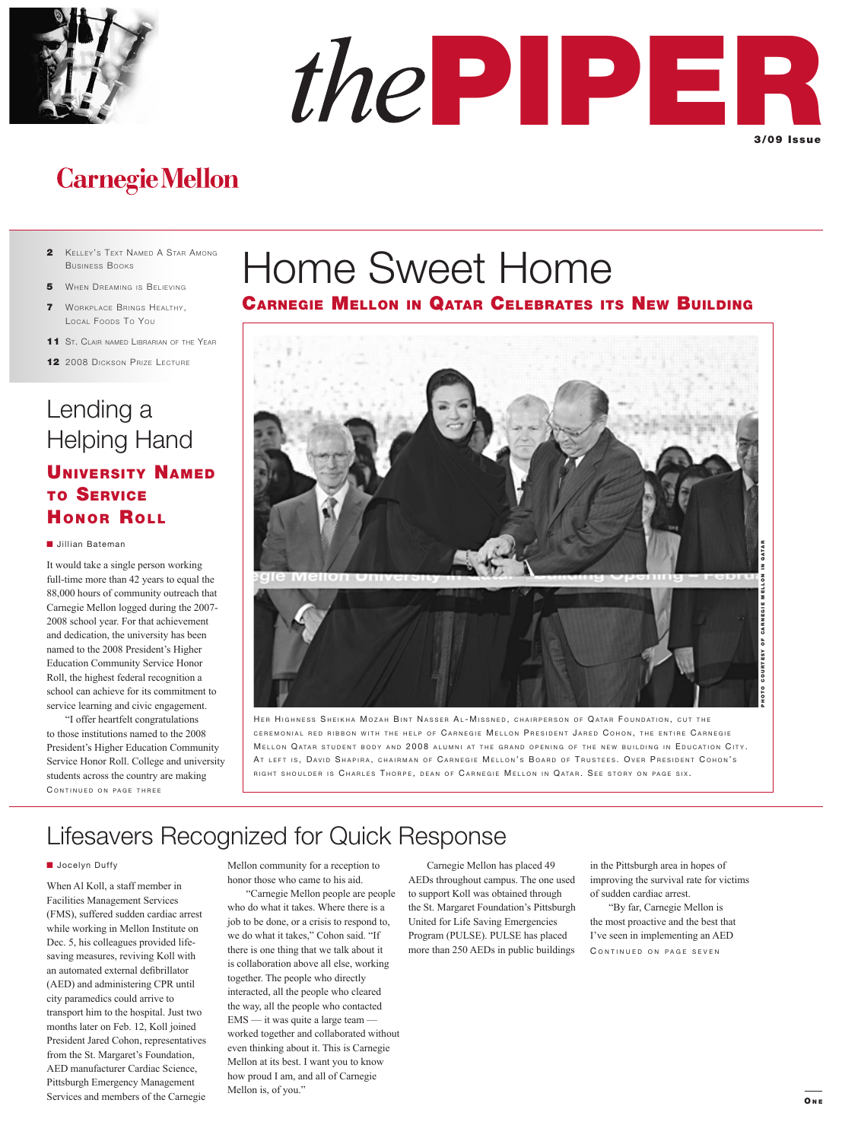



## **Carnegie Mellon**

- 2 KELLEY'S TEXT NAMED A STAR AMONG BUSINESS BOOKS
- 5 WHEN DREAMING IS BELIEVING
- 7 WORKPLACE BRINGS HEALTHY, LOCAL FOODS TO YOU
- 11 ST. CLAIR NAMED LIBRARIAN OF THE YEAR
- 12 2008 DICKSON PRIZE LECTURE

## Lending a Helping Hand UNIVERSITY NAMED

### TO SERVICE HONOR ROLL

#### **I** Jillian Bateman

It would take a single person working full-time more than 42 years to equal the 88,000 hours of community outreach that Carnegie Mellon logged during the 2007- 2008 school year. For that achievement and dedication, the university has been named to the 2008 President's Higher Education Community Service Honor Roll, the highest federal recognition a school can achieve for its commitment to service learning and civic engagement.

CONTINUED ON PAGE THREE "I offer heartfelt congratulations to those institutions named to the 2008 President's Higher Education Community Service Honor Roll. College and university students across the country are making

# Home Sweet Home

### CARNEGIE MELLON IN QATAR CELEBRATES ITS NEW BUILDING



HER HIGHNESS SHEIKHA MOZAH BINT NASSER AL-MISSNED, CHAIRPERSON OF QATAR FOUNDATION, CUT THE CEREMONIAL RED RIBBON WITH THE HELP OF CARNEGIE MELLON PRESIDENT JARED COHON, THE ENTIRE CARNEGIE MELLON QATAR STUDENT BODY AND 2008 ALUMNI AT THE GRAND OPENING OF THE NEW BUILDING IN EDUCATION CITY. AT LEFT IS, DAVID SHAPIRA, CHAIRMAN OF CARNEGIE MELLON'S BOARD OF TRUSTEES. OVER PRESIDENT COHON'S RIGHT SHOULDER IS CHARLES THORPE, DEAN OF CARNEGIE MELLON IN QATAR. SEE STORY ON PAGE SIX.

### Lifesavers Recognized for Quick Response

#### **Jocelyn Duffy**

When Al Koll, a staff member in Facilities Management Services (FMS), suffered sudden cardiac arrest while working in Mellon Institute on Dec. 5, his colleagues provided lifesaving measures, reviving Koll with an automated external defibrillator (AED) and administering CPR until city paramedics could arrive to transport him to the hospital. Just two months later on Feb. 12, Koll joined President Jared Cohon, representatives from the St. Margaret's Foundation, AED manufacturer Cardiac Science, Pittsburgh Emergency Management Services and members of the Carnegie

Mellon community for a reception to honor those who came to his aid.

 "Carnegie Mellon people are people who do what it takes. Where there is a job to be done, or a crisis to respond to, we do what it takes," Cohon said. "If there is one thing that we talk about it is collaboration above all else, working together. The people who directly interacted, all the people who cleared the way, all the people who contacted EMS — it was quite a large team worked together and collaborated without even thinking about it. This is Carnegie Mellon at its best. I want you to know how proud I am, and all of Carnegie Mellon is, of you."

 Carnegie Mellon has placed 49 AEDs throughout campus. The one used to support Koll was obtained through the St. Margaret Foundation's Pittsburgh United for Life Saving Emergencies Program (PULSE). PULSE has placed more than 250 AEDs in public buildings in the Pittsburgh area in hopes of improving the survival rate for victims of sudden cardiac arrest.

 "By far, Carnegie Mellon is the most proactive and the best that I've seen in implementing an AED CONTINUED ON PAGE SEVEN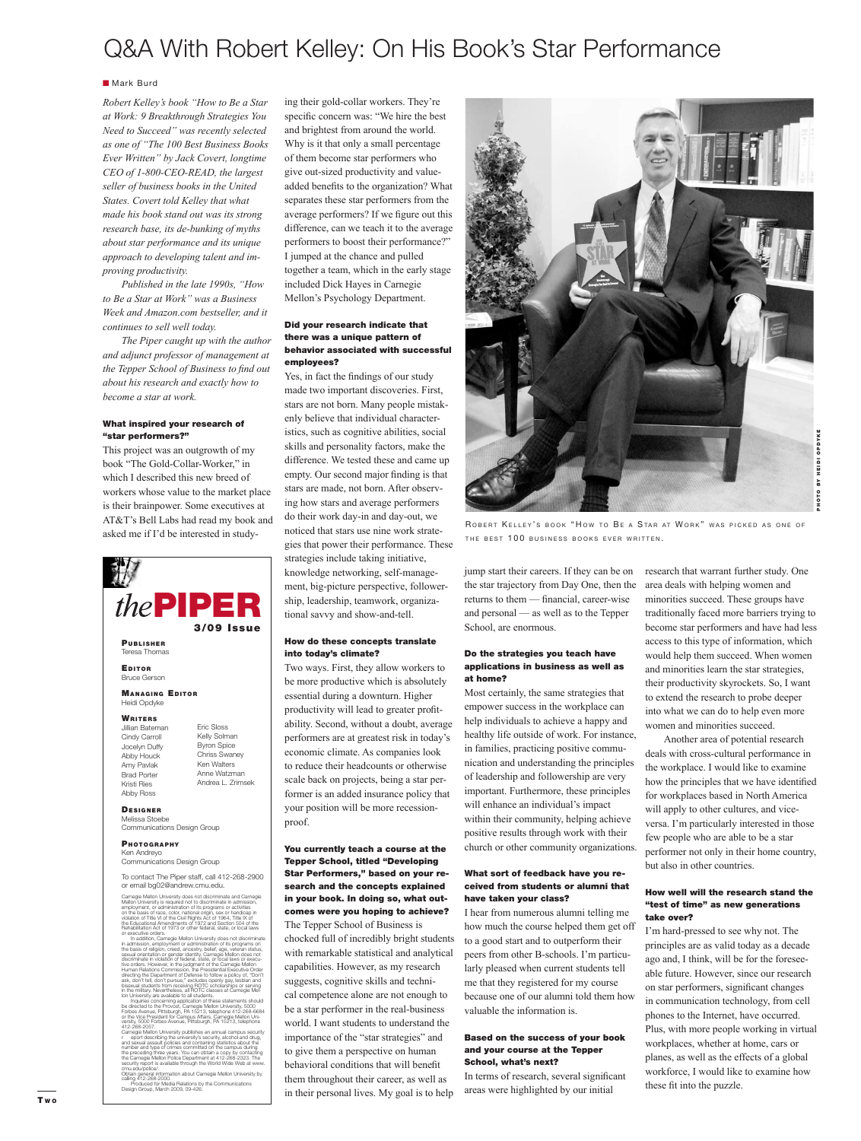### Q&A With Robert Kelley: On His Book's Star Performance

#### **Mark Burd**

*Robert Kelley's book "How to Be a Star at Work: 9 Breakthrough Strategies You Need to Succeed" was recently selected as one of "The 100 Best Business Books Ever Written" by Jack Covert, longtime CEO of 1-800-CEO-READ, the largest seller of business books in the United States. Covert told Kelley that what made his book stand out was its strong research base, its de-bunking of myths about star performance and its unique approach to developing talent and improving productivity.*

 *Published in the late 1990s, "How to Be a Star at Work" was a Business Week and Amazon.com bestseller, and it continues to sell well today.* 

 *The Piper caught up with the author and adjunct professor of management at the Tepper School of Business to find out about his research and exactly how to become a star at work.*

#### What inspired your research of "star performers?"

This project was an outgrowth of my book "The Gold-Collar-Worker," in which I described this new breed of workers whose value to the market place is their brainpower. Some executives at AT&T's Bell Labs had read my book and asked me if I'd be interested in study-



in addition, Carnegie Mellon University does not discriminate<br>in admission, employment or administration of its programs on<br>the basis of religion, creed, ancestry, belief, age, veteran status,<br>escual orientation or gender

Inquiries concerning application of these statements should<br>be directed to the Provost, Carnegie Mellon University, 5000<br>Forbes Avenue, Pittsburgh, PA 15213, telephone 412-268-6684<br>or the Vice President for Campus Affairs, Carnegie Mellon University publishes an annual campus security<br>carnegie Mellon University's security, alcohol and drug,<br>and sexual assault policies and containing statistics about the<br>number and type of crimes cormmitted o cmu.edu/police/. Obtain general information about Carnegie Mellon University by calling 412-268-2000. Produced for Media Relations by the Communications Design Group, March 2009, 09-426.

ing their gold-collar workers. They're specific concern was: "We hire the best and brightest from around the world. Why is it that only a small percentage of them become star performers who give out-sized productivity and valueadded benefits to the organization? What separates these star performers from the average performers? If we figure out this difference, can we teach it to the average performers to boost their performance?" I jumped at the chance and pulled together a team, which in the early stage included Dick Hayes in Carnegie Mellon's Psychology Department.

#### Did your research indicate that there was a unique pattern of behavior associated with successful employees?

Yes, in fact the findings of our study made two important discoveries. First, stars are not born. Many people mistakenly believe that individual characteristics, such as cognitive abilities, social skills and personality factors, make the difference. We tested these and came up empty. Our second major finding is that stars are made, not born. After observing how stars and average performers do their work day-in and day-out, we noticed that stars use nine work strategies that power their performance. These strategies include taking initiative, knowledge networking, self-management, big-picture perspective, followership, leadership, teamwork, organizational savvy and show-and-tell.

#### How do these concepts translate into today's climate?

Two ways. First, they allow workers to be more productive which is absolutely essential during a downturn. Higher productivity will lead to greater profitability. Second, without a doubt, average performers are at greatest risk in today's economic climate. As companies look to reduce their headcounts or otherwise scale back on projects, being a star performer is an added insurance policy that your position will be more recessionproof.

#### You currently teach a course at the Tepper School, titled "Developing Star Performers," based on your research and the concepts explained in your book. In doing so, what outcomes were you hoping to achieve?

The Tepper School of Business is chocked full of incredibly bright students with remarkable statistical and analytical capabilities. However, as my research suggests, cognitive skills and technical competence alone are not enough to be a star performer in the real-business world. I want students to understand the importance of the "star strategies" and to give them a perspective on human behavioral conditions that will benefit them throughout their career, as well as in their personal lives. My goal is to help



ROBERT KELLEY'S BOOK "HOW TO BE A STAR AT WORK" WAS PICKED AS ONE OF THE BEST 100 BUSINESS BOOKS EVER WRITTEN.

jump start their careers. If they can be on the star trajectory from Day One, then the returns to them — financial, career-wise and personal — as well as to the Tepper School, are enormous.

#### Do the strategies you teach have applications in business as well as at home?

Most certainly, the same strategies that empower success in the workplace can help individuals to achieve a happy and healthy life outside of work. For instance, in families, practicing positive communication and understanding the principles of leadership and followership are very important. Furthermore, these principles will enhance an individual's impact within their community, helping achieve positive results through work with their church or other community organizations.

#### What sort of feedback have you received from students or alumni that have taken your class?

I hear from numerous alumni telling me how much the course helped them get off to a good start and to outperform their peers from other B-schools. I'm particularly pleased when current students tell me that they registered for my course because one of our alumni told them how valuable the information is.

#### Based on the success of your book and your course at the Tepper School, what's next?

In terms of research, several significant areas were highlighted by our initial

research that warrant further study. One area deals with helping women and minorities succeed. These groups have traditionally faced more barriers trying to become star performers and have had less access to this type of information, which would help them succeed. When women and minorities learn the star strategies, their productivity skyrockets. So, I want to extend the research to probe deeper into what we can do to help even more women and minorities succeed.

 Another area of potential research deals with cross-cultural performance in the workplace. I would like to examine how the principles that we have identified for workplaces based in North America will apply to other cultures, and viceversa. I'm particularly interested in those few people who are able to be a star performer not only in their home country, but also in other countries.

#### How well will the research stand the "test of time" as new generations take over?

I'm hard-pressed to see why not. The principles are as valid today as a decade ago and, I think, will be for the foreseeable future. However, since our research on star performers, significant changes in communication technology, from cell phones to the Internet, have occurred. Plus, with more people working in virtual workplaces, whether at home, cars or planes, as well as the effects of a global workforce, I would like to examine how these fit into the puzzle.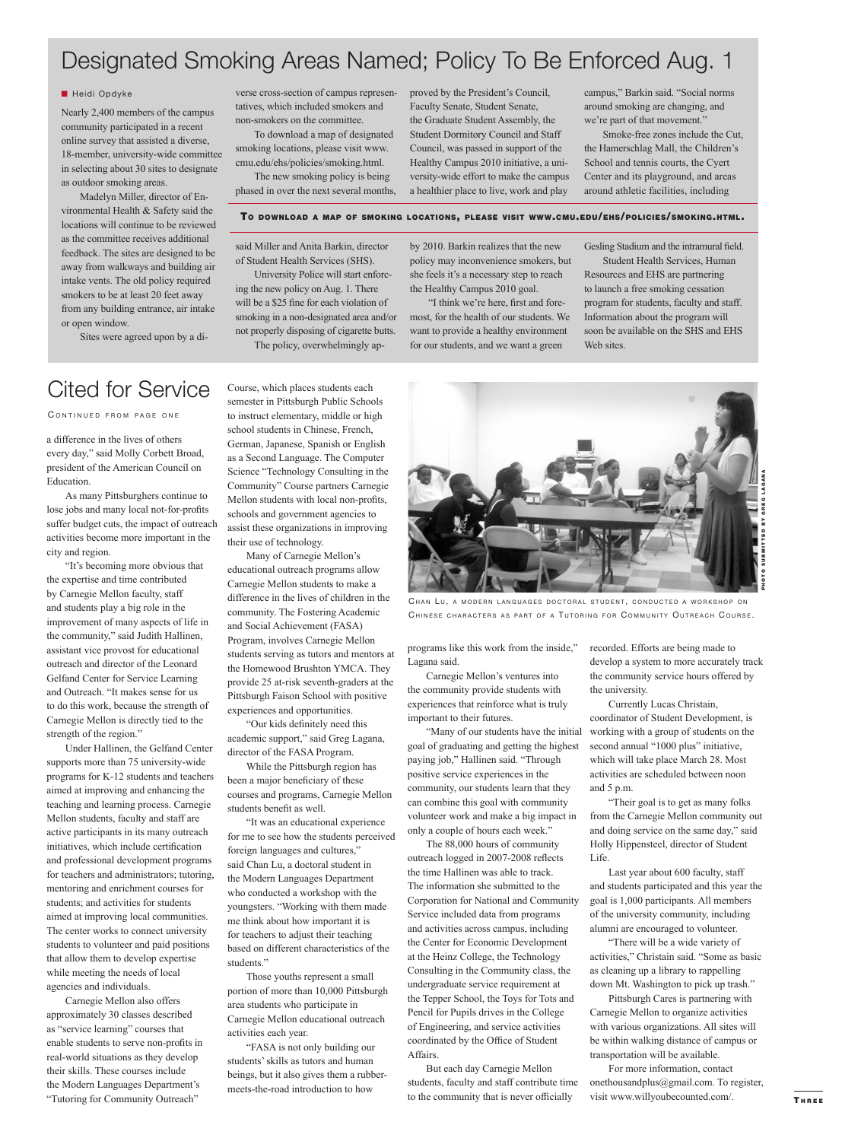### Designated Smoking Areas Named; Policy To Be Enforced Aug. 1

#### **Heidi Opdyke**

Nearly 2,400 members of the campus community participated in a recent online survey that assisted a diverse, 18-member, university-wide committee in selecting about 30 sites to designate as outdoor smoking areas.

 Madelyn Miller, director of Environmental Health & Safety said the locations will continue to be reviewed as the committee receives additional feedback. The sites are designed to be away from walkways and building air intake vents. The old policy required smokers to be at least 20 feet away from any building entrance, air intake or open window.

Sites were agreed upon by a di-

verse cross-section of campus representatives, which included smokers and non-smokers on the committee.

 To download a map of designated smoking locations, please visit www. cmu.edu/ehs/policies/smoking.html. The new smoking policy is being

phased in over the next several months,

proved by the President's Council, Faculty Senate, Student Senate, the Graduate Student Assembly, the Student Dormitory Council and Staff Council, was passed in support of the Healthy Campus 2010 initiative, a university-wide effort to make the campus a healthier place to live, work and play

campus," Barkin said. "Social norms around smoking are changing, and we're part of that movement."

 Smoke-free zones include the Cut, the Hamerschlag Mall, the Children's School and tennis courts, the Cyert Center and its playground, and areas around athletic facilities, including

#### TO DOWNLOAD A MAP OF SMOKING LOCATIONS, PLEASE VISIT WWW.CMU.EDU/EHS/POLICIES/SMOKING.HTML.

said Miller and Anita Barkin, director of Student Health Services (SHS).

 University Police will start enforcing the new policy on Aug. 1. There will be a \$25 fine for each violation of smoking in a non-designated area and/or not properly disposing of cigarette butts. The policy, overwhelmingly apby 2010. Barkin realizes that the new policy may inconvenience smokers, but she feels it's a necessary step to reach the Healthy Campus 2010 goal.

"I think we're here, first and foremost, for the health of our students. We want to provide a healthy environment for our students, and we want a green

Gesling Stadium and the intramural field. Student Health Services, Human

Resources and EHS are partnering to launch a free smoking cessation program for students, faculty and staff. Information about the program will soon be available on the SHS and EHS Web sites.

### Cited for Service

CONTINUED FROM PAGE ONE

a difference in the lives of others every day," said Molly Corbett Broad, president of the American Council on Education.

 As many Pittsburghers continue to lose jobs and many local not-for-profits suffer budget cuts, the impact of outreach activities become more important in the city and region.

 "It's becoming more obvious that the expertise and time contributed by Carnegie Mellon faculty, staff and students play a big role in the improvement of many aspects of life in the community," said Judith Hallinen, assistant vice provost for educational outreach and director of the Leonard Gelfand Center for Service Learning and Outreach. "It makes sense for us to do this work, because the strength of Carnegie Mellon is directly tied to the strength of the region."

 Under Hallinen, the Gelfand Center supports more than 75 university-wide programs for K-12 students and teachers aimed at improving and enhancing the teaching and learning process. Carnegie Mellon students, faculty and staff are active participants in its many outreach initiatives, which include certification and professional development programs for teachers and administrators; tutoring, mentoring and enrichment courses for students; and activities for students aimed at improving local communities. The center works to connect university students to volunteer and paid positions that allow them to develop expertise while meeting the needs of local agencies and individuals.

 Carnegie Mellon also offers approximately 30 classes described as "service learning" courses that enable students to serve non-profits in real-world situations as they develop their skills. These courses include the Modern Languages Department's "Tutoring for Community Outreach"

Course, which places students each semester in Pittsburgh Public Schools to instruct elementary, middle or high school students in Chinese, French, German, Japanese, Spanish or English as a Second Language. The Computer Science "Technology Consulting in the Community" Course partners Carnegie Mellon students with local non-profits, schools and government agencies to assist these organizations in improving their use of technology.

 Many of Carnegie Mellon's educational outreach programs allow Carnegie Mellon students to make a difference in the lives of children in the community. The Fostering Academic and Social Achievement (FASA) Program, involves Carnegie Mellon students serving as tutors and mentors at the Homewood Brushton YMCA. They provide 25 at-risk seventh-graders at the Pittsburgh Faison School with positive experiences and opportunities.

"Our kids definitely need this academic support," said Greg Lagana, director of the FASA Program.

 While the Pittsburgh region has been a major beneficiary of these courses and programs, Carnegie Mellon students benefit as well.

 "It was an educational experience for me to see how the students perceived foreign languages and cultures," said Chan Lu, a doctoral student in the Modern Languages Department who conducted a workshop with the youngsters. "Working with them made me think about how important it is for teachers to adjust their teaching based on different characteristics of the students."

 Those youths represent a small portion of more than 10,000 Pittsburgh area students who participate in Carnegie Mellon educational outreach activities each year.

 "FASA is not only building our students' skills as tutors and human beings, but it also gives them a rubbermeets-the-road introduction to how



CHAN LU, A MODERN LANGUAGES DOCTORAL STUDENT, CONDUCTED A WORKSHOP ON CHINESE CHARACTERS AS PART OF A TUTORING FOR COMMUNITY OUTREACH COURSE.

programs like this work from the inside," Lagana said.

 Carnegie Mellon's ventures into the community provide students with experiences that reinforce what is truly important to their futures.

 "Many of our students have the initial goal of graduating and getting the highest paying job," Hallinen said. "Through positive service experiences in the community, our students learn that they can combine this goal with community volunteer work and make a big impact in only a couple of hours each week."

 The 88,000 hours of community outreach logged in 2007-2008 reflects the time Hallinen was able to track. The information she submitted to the Corporation for National and Community Service included data from programs and activities across campus, including the Center for Economic Development at the Heinz College, the Technology Consulting in the Community class, the undergraduate service requirement at the Tepper School, the Toys for Tots and Pencil for Pupils drives in the College of Engineering, and service activities coordinated by the Office of Student

 But each day Carnegie Mellon students, faculty and staff contribute time to the community that is never officially

Affairs.

recorded. Efforts are being made to develop a system to more accurately track the community service hours offered by the university.

 Currently Lucas Christain, coordinator of Student Development, is working with a group of students on the second annual "1000 plus" initiative, which will take place March 28. Most activities are scheduled between noon and 5 p.m.

 "Their goal is to get as many folks from the Carnegie Mellon community out and doing service on the same day," said Holly Hippensteel, director of Student Life.

 Last year about 600 faculty, staff and students participated and this year the goal is 1,000 participants. All members of the university community, including alumni are encouraged to volunteer.

 "There will be a wide variety of activities," Christain said. "Some as basic as cleaning up a library to rappelling down Mt. Washington to pick up trash."

 Pittsburgh Cares is partnering with Carnegie Mellon to organize activities with various organizations. All sites will be within walking distance of campus or transportation will be available.

 For more information, contact onethousandplus@gmail.com. To register, visit www.willyoubecounted.com/.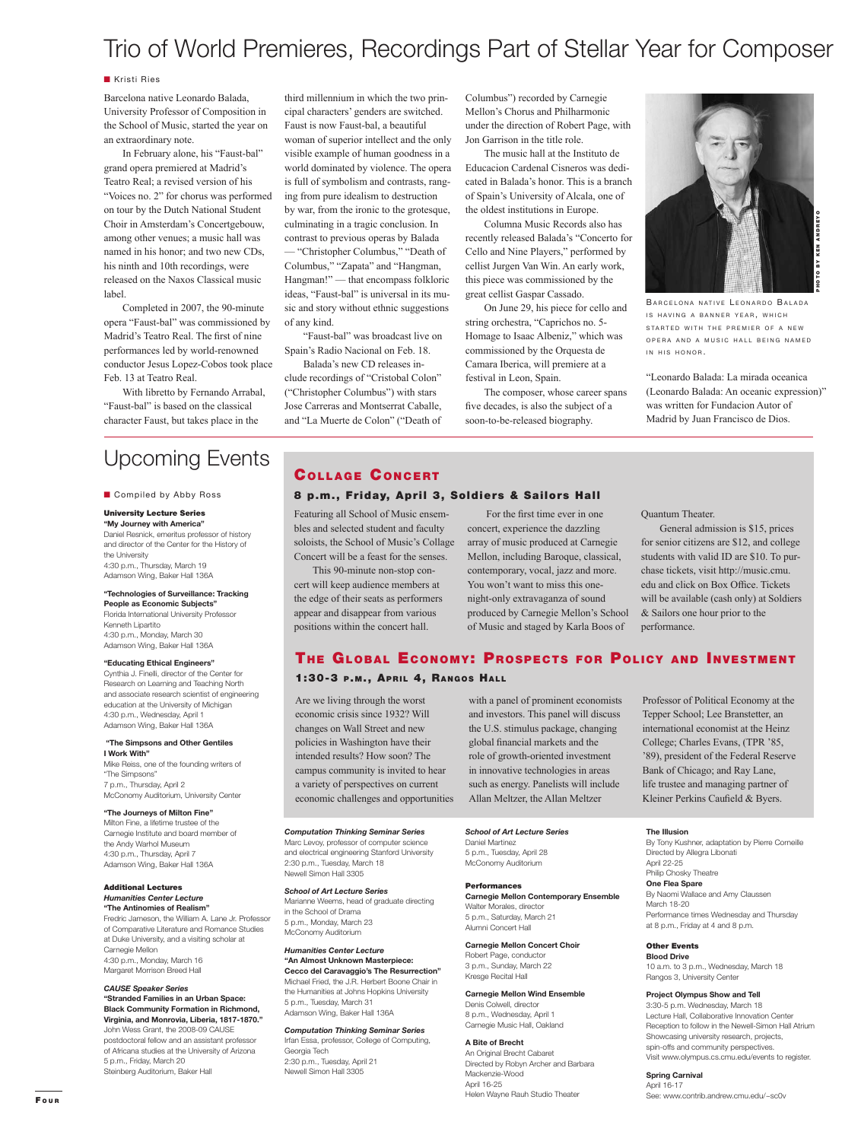## Trio of World Premieres, Recordings Part of Stellar Year for Composer

#### **Kristi Ries**

Barcelona native Leonardo Balada, University Professor of Composition in the School of Music, started the year on an extraordinary note.

 In February alone, his "Faust-bal" grand opera premiered at Madrid's Teatro Real; a revised version of his "Voices no. 2" for chorus was performed on tour by the Dutch National Student Choir in Amsterdam's Concertgebouw, among other venues; a music hall was named in his honor; and two new CDs, his ninth and 10th recordings, were released on the Naxos Classical music label.

 Completed in 2007, the 90-minute opera "Faust-bal" was commissioned by Madrid's Teatro Real. The first of nine performances led by world-renowned conductor Jesus Lopez-Cobos took place Feb. 13 at Teatro Real.

 With libretto by Fernando Arrabal, "Faust-bal" is based on the classical character Faust, but takes place in the

## Upcoming Events COLLAGE CONCERT

**E** Compiled by Abby Ross

#### University Lecture Series

**"My Journey with America"** Daniel Resnick, emeritus professor of history and director of the Center for the History of the University 4:30 p.m., Thursday, March 19 Adamson Wing, Baker Hall 136A

**"Technologies of Surveillance: Tracking People as Economic Subjects"**  Florida International University Professor Kenneth Lipartito

4:30 p.m., Monday, March 30 Adamson Wing, Baker Hall 136A

**"Educating Ethical Engineers"**  Cynthia J. Finelli, director of the Center for

Research on Learning and Teaching North and associate research scientist of engineering education at the University of Michigan 4:30 p.m., Wednesday, April 1 Adamson Wing, Baker Hall 136A

 **"The Simpsons and Other Gentiles I Work With"**

Mike Reiss, one of the founding writers of "The Simpsons" 7 p.m., Thursday, April 2 McConomy Auditorium, University Center

#### **"The Journeys of Milton Fine"**

Milton Fine, a lifetime trustee of the Carnegie Institute and board member of the Andy Warhol Museum 4:30 p.m., Thursday, April 7 Adamson Wing, Baker Hall 136A

#### Additional Lectures *Humanities Center Lecture* **"The Antinomies of Realism"**

Fredric Jameson, the William A. Lane Jr. Professor of Comparative Literature and Romance Studies at Duke University, and a visiting scholar at Carnegie Mellon 4:30 p.m., Monday, March 16 Margaret Morrison Breed Hall

#### *CAUSE Speaker Series*

**"Stranded Families in an Urban Space: Black Community Formation in Richmond, Virginia, and Monrovia, Liberia, 1817-1870."** John Wess Grant, the 2008-09 CAUSE postdoctoral fellow and an assistant professor of Africana studies at the University of Arizona 5 p.m., Friday, March 20 Steinberg Auditorium, Baker Hall

third millennium in which the two principal characters' genders are switched. Faust is now Faust-bal, a beautiful woman of superior intellect and the only visible example of human goodness in a world dominated by violence. The opera is full of symbolism and contrasts, ranging from pure idealism to destruction by war, from the ironic to the grotesque, culminating in a tragic conclusion. In contrast to previous operas by Balada — "Christopher Columbus," "Death of Columbus," "Zapata" and "Hangman, Hangman!" — that encompass folkloric ideas, "Faust-bal" is universal in its music and story without ethnic suggestions of any kind.

 "Faust-bal" was broadcast live on Spain's Radio Nacional on Feb. 18.

 Balada's new CD releases include recordings of "Cristobal Colon" ("Christopher Columbus") with stars Jose Carreras and Montserrat Caballe, and "La Muerte de Colon" ("Death of

Columbus") recorded by Carnegie Mellon's Chorus and Philharmonic under the direction of Robert Page, with Jon Garrison in the title role.

 The music hall at the Instituto de Educacion Cardenal Cisneros was dedicated in Balada's honor. This is a branch of Spain's University of Alcala, one of the oldest institutions in Europe.

 Columna Music Records also has recently released Balada's "Concerto for Cello and Nine Players," performed by cellist Jurgen Van Win. An early work, this piece was commissioned by the great cellist Gaspar Cassado.

 On June 29, his piece for cello and string orchestra, "Caprichos no. 5- Homage to Isaac Albeniz," which was commissioned by the Orquesta de Camara Iberica, will premiere at a festival in Leon, Spain.

 The composer, whose career spans five decades, is also the subject of a soon-to-be-released biography.



BARCELONA NATIVE LEONARDO BALADA IS HAVING A BANNER YEAR, WHICH STARTED WITH THE PREMIER OF A NEW OPERA AND A MUSIC HALL BEING NAMED IN HIS HONOR.

"Leonardo Balada: La mirada oceanica (Leonardo Balada: An oceanic expression)" was written for Fundacion Autor of Madrid by Juan Francisco de Dios.

#### 8 p.m., Friday, April 3, Soldiers & Sailors Hall

Featuring all School of Music ensembles and selected student and faculty soloists, the School of Music's Collage Concert will be a feast for the senses.

 This 90-minute non-stop concert will keep audience members at the edge of their seats as performers appear and disappear from various positions within the concert hall.

For the first time ever in one concert, experience the dazzling array of music produced at Carnegie Mellon, including Baroque, classical, contemporary, vocal, jazz and more. You won't want to miss this onenight-only extravaganza of sound produced by Carnegie Mellon's School of Music and staged by Karla Boos of

Quantum Theater.

 General admission is \$15, prices for senior citizens are \$12, and college students with valid ID are \$10. To purchase tickets, visit http://music.cmu. edu and click on Box Office. Tickets will be available (cash only) at Soldiers & Sailors one hour prior to the performance.

### THE GLOBAL ECONOMY: PROSPECTS FOR POLICY AND INVESTMENT

#### 1:30-3 P.M., APRIL 4, RANGOS HALL

Are we living through the worst economic crisis since 1932? Will changes on Wall Street and new policies in Washington have their intended results? How soon? The campus community is invited to hear a variety of perspectives on current economic challenges and opportunities

with a panel of prominent economists and investors. This panel will discuss the U.S. stimulus package, changing global nancial markets and the role of growth-oriented investment in innovative technologies in areas such as energy. Panelists will include Allan Meltzer, the Allan Meltzer

### *Computation Thinking Seminar Series*

Marc Levoy, professor of computer science and electrical engineering Stanford University 2:30 p.m., Tuesday, March 18 Newell Simon Hall 3305

#### *School of Art Lecture Series* Marianne Weems, head of graduate directing in the School of Drama

5 p.m., Monday, March 23 McConomy Auditorium

#### *Humanities Center Lecture* **"An Almost Unknown Masterpiece: Cecco del Caravaggio's The Resurrection"** Michael Fried, the J.R. Herbert Boone Chair in the Humanities at Johns Hopkins University 5 p.m., Tuesday, March 31

Adamson Wing, Baker Hall 136A *Computation Thinking Seminar Series*

Irfan Essa, professor, College of Computing, Georgia Tech 2:30 p.m., Tuesday, April 21 Newell Simon Hall 3305

*School of Art Lecture Series*

#### Daniel Martinez 5 p.m., Tuesday, April 28 McConomy Auditorium

#### Performances

**Carnegie Mellon Contemporary Ensemble** Walter Morales, director 5 p.m., Saturday, March 21 Alumni Concert Hall

**Carnegie Mellon Concert Choir** Robert Page, conductor 3 p.m., Sunday, March 22 Kresge Recital Hall

#### **Carnegie Mellon Wind Ensemble** Denis Colwell, director 8 p.m., Wednesday, April 1 Carnegie Music Hall, Oakland

**A Bite of Brecht** An Original Brecht Cabaret Directed by Robyn Archer and Barbara Mackenzie-Wood April 16-25 Helen Wayne Rauh Studio Theater

Professor of Political Economy at the Tepper School; Lee Branstetter, an international economist at the Heinz College; Charles Evans, (TPR '85, '89), president of the Federal Reserve Bank of Chicago; and Ray Lane, life trustee and managing partner of Kleiner Perkins Caufield & Byers.

#### **The Illusion**

By Tony Kushner, adaptation by Pierre Corneille Directed by Allegra Libonati April 22-25 Philip Chosky Theatre **One Flea Spare** By Naomi Wallace and Amy Claussen March 18-20 Performance times Wednesday and Thursday at 8 p.m., Friday at 4 and 8 p.m.

### Other Events

**Blood Drive** 10 a.m. to 3 p.m., Wednesday, March 18 Rangos 3, University Center

#### **Project Olympus Show and Tell**

3:30-5 p.m. Wednesday, March 18 Lecture Hall, Collaborative Innovation Center Reception to follow in the Newell-Simon Hall Atrium Showcasing university research, projects, spin-offs and community perspectives. Visit www.olympus.cs.cmu.edu/events to register.

**Spring Carnival** April 16-17 See: www.contrib.andrew.cmu.edu/~sc0v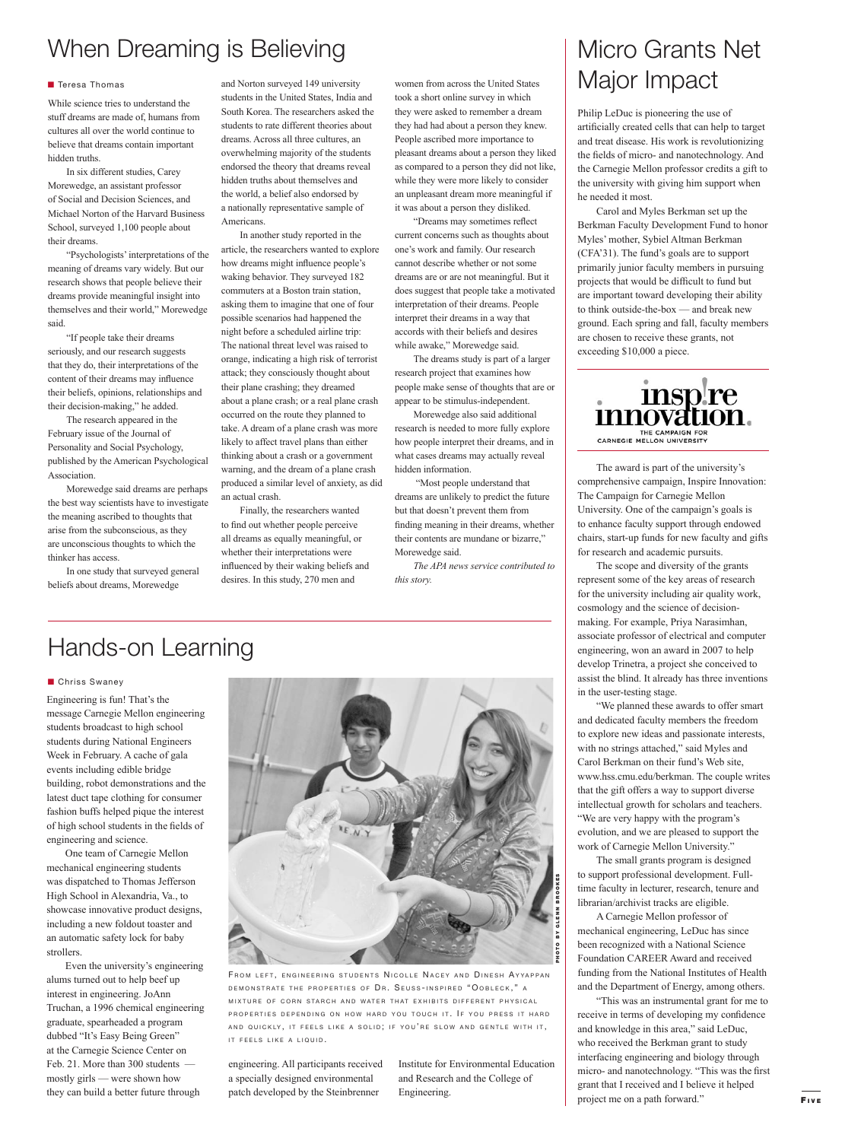## When Dreaming is Believing

#### **Teresa Thomas**

While science tries to understand the stuff dreams are made of, humans from cultures all over the world continue to believe that dreams contain important hidden truths.

 In six different studies, Carey Morewedge, an assistant professor of Social and Decision Sciences, and Michael Norton of the Harvard Business School, surveyed 1,100 people about their dreams.

 "Psychologists' interpretations of the meaning of dreams vary widely. But our research shows that people believe their dreams provide meaningful insight into themselves and their world," Morewedge said.

 "If people take their dreams seriously, and our research suggests that they do, their interpretations of the content of their dreams may influence their beliefs, opinions, relationships and their decision-making," he added.

 The research appeared in the February issue of the Journal of Personality and Social Psychology, published by the American Psychological Association.

 Morewedge said dreams are perhaps the best way scientists have to investigate the meaning ascribed to thoughts that arise from the subconscious, as they are unconscious thoughts to which the thinker has access.

 In one study that surveyed general beliefs about dreams, Morewedge

and Norton surveyed 149 university students in the United States, India and South Korea. The researchers asked the students to rate different theories about dreams. Across all three cultures, an overwhelming majority of the students endorsed the theory that dreams reveal hidden truths about themselves and the world, a belief also endorsed by a nationally representative sample of Americans.

 In another study reported in the article, the researchers wanted to explore how dreams might influence people's waking behavior. They surveyed 182 commuters at a Boston train station, asking them to imagine that one of four possible scenarios had happened the night before a scheduled airline trip: The national threat level was raised to orange, indicating a high risk of terrorist attack; they consciously thought about their plane crashing; they dreamed about a plane crash; or a real plane crash occurred on the route they planned to take. A dream of a plane crash was more likely to affect travel plans than either thinking about a crash or a government warning, and the dream of a plane crash produced a similar level of anxiety, as did

an actual crash. Finally, the researchers wanted to find out whether people perceive all dreams as equally meaningful, or whether their interpretations were in fluenced by their waking beliefs and desires. In this study, 270 men and

women from across the United States took a short online survey in which they were asked to remember a dream they had had about a person they knew. People ascribed more importance to pleasant dreams about a person they liked as compared to a person they did not like, while they were more likely to consider an unpleasant dream more meaningful if it was about a person they disliked.

"Dreams may sometimes reflect current concerns such as thoughts about one's work and family. Our research cannot describe whether or not some dreams are or are not meaningful. But it does suggest that people take a motivated interpretation of their dreams. People interpret their dreams in a way that accords with their beliefs and desires while awake," Morewedge said.

 The dreams study is part of a larger research project that examines how people make sense of thoughts that are or appear to be stimulus-independent.

 Morewedge also said additional research is needed to more fully explore how people interpret their dreams, and in what cases dreams may actually reveal hidden information.

 "Most people understand that dreams are unlikely to predict the future but that doesn't prevent them from finding meaning in their dreams, whether their contents are mundane or bizarre," Morewedge said.

*The APA news service contributed to this story.*

## Hands-on Learning

#### **Chriss Swaney**

Engineering is fun! That's the message Carnegie Mellon engineering students broadcast to high school students during National Engineers Week in February. A cache of gala events including edible bridge building, robot demonstrations and the latest duct tape clothing for consumer fashion buffs helped pique the interest of high school students in the fields of engineering and science.

 One team of Carnegie Mellon mechanical engineering students was dispatched to Thomas Jefferson High School in Alexandria, Va., to showcase innovative product designs, including a new foldout toaster and an automatic safety lock for baby strollers.

 Even the university's engineering alums turned out to help beef up interest in engineering. JoAnn Truchan, a 1996 chemical engineering graduate, spearheaded a program dubbed "It's Easy Being Green" at the Carnegie Science Center on Feb. 21. More than 300 students mostly girls — were shown how they can build a better future through



FROM LEFT, ENGINEERING STUDENTS NICOLLE NACEY AND DINESH AYYAPPAN DEMONSTRATE THE PROPERTIES OF DR. SEUSS-INSPIRED "OOBLECK," A MIXTURE OF CORN STARCH AND WATER THAT EXHIBITS DIFFERENT PHYSICAL PROPERTIES DEPENDING ON HOW HARD YOU TOUCH IT. IF YOU PRESS IT HARD AND QUICKLY, IT FEELS LIKE A SOLID; IF YOU'RE SLOW AND GENTLE WITH IT, IT FEELS LIKE A LIQUID.

engineering. All participants received a specially designed environmental patch developed by the Steinbrenner

Institute for Environmental Education and Research and the College of Engineering.

## Micro Grants Net Major Impact

Philip LeDuc is pioneering the use of artificially created cells that can help to target and treat disease. His work is revolutionizing the fields of micro- and nanotechnology. And the Carnegie Mellon professor credits a gift to the university with giving him support when he needed it most.

 Carol and Myles Berkman set up the Berkman Faculty Development Fund to honor Myles' mother, Sybiel Altman Berkman (CFA'31). The fund's goals are to support primarily junior faculty members in pursuing projects that would be difficult to fund but are important toward developing their ability to think outside-the-box — and break new ground. Each spring and fall, faculty members are chosen to receive these grants, not exceeding \$10,000 a piece.



 The award is part of the university's comprehensive campaign, Inspire Innovation: The Campaign for Carnegie Mellon University. One of the campaign's goals is to enhance faculty support through endowed chairs, start-up funds for new faculty and gifts for research and academic pursuits.

 The scope and diversity of the grants represent some of the key areas of research for the university including air quality work, cosmology and the science of decisionmaking. For example, Priya Narasimhan, associate professor of electrical and computer engineering, won an award in 2007 to help develop Trinetra, a project she conceived to assist the blind. It already has three inventions in the user-testing stage.

 "We planned these awards to offer smart and dedicated faculty members the freedom to explore new ideas and passionate interests, with no strings attached," said Myles and Carol Berkman on their fund's Web site, www.hss.cmu.edu/berkman. The couple writes that the gift offers a way to support diverse intellectual growth for scholars and teachers. "We are very happy with the program's evolution, and we are pleased to support the work of Carnegie Mellon University."

 The small grants program is designed to support professional development. Fulltime faculty in lecturer, research, tenure and librarian/archivist tracks are eligible.

 A Carnegie Mellon professor of mechanical engineering, LeDuc has since been recognized with a National Science Foundation CAREER Award and received funding from the National Institutes of Health and the Department of Energy, among others.

 "This was an instrumental grant for me to receive in terms of developing my confidence and knowledge in this area," said LeDuc, who received the Berkman grant to study interfacing engineering and biology through micro- and nanotechnology. "This was the first grant that I received and I believe it helped project me on a path forward."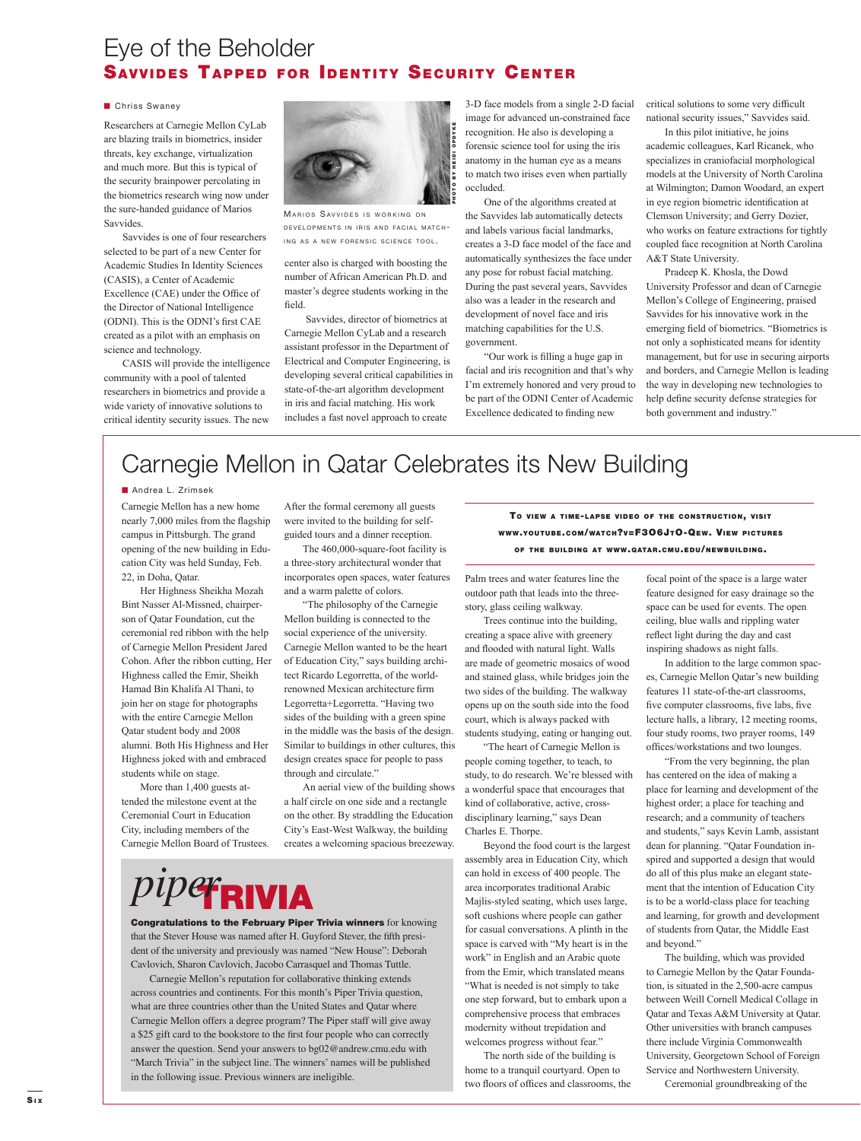### Eye of the Beholder SAVVIDES TAPPED FOR IDENTITY SECURITY CENTER

#### **Chriss Swaney**

Researchers at Carnegie Mellon CyLab are blazing trails in biometrics, insider threats, key exchange, virtualization and much more. But this is typical of the security brainpower percolating in the biometrics research wing now under the sure-handed guidance of Marios Savvides.

 Savvides is one of four researchers selected to be part of a new Center for Academic Studies In Identity Sciences (CASIS), a Center of Academic Excellence (CAE) under the Office of the Director of National Intelligence (ODNI). This is the ODNI's first CAE created as a pilot with an emphasis on science and technology.

 CASIS will provide the intelligence community with a pool of talented researchers in biometrics and provide a wide variety of innovative solutions to critical identity security issues. The new



MARIOS SAVVIDES IS WORKING ON DEVELOPMENTS IN IRIS AND FACIAL MATCH-ING AS A NEW FORENSIC SCIENCE TOOL.

center also is charged with boosting the number of African American Ph.D. and master's degree students working in the field.

 Savvides, director of biometrics at Carnegie Mellon CyLab and a research assistant professor in the Department of Electrical and Computer Engineering, is developing several critical capabilities in state-of-the-art algorithm development in iris and facial matching. His work includes a fast novel approach to create

3-D face models from a single 2-D facial image for advanced un-constrained face recognition. He also is developing a forensic science tool for using the iris anatomy in the human eye as a means to match two irises even when partially occluded.

 One of the algorithms created at the Savvides lab automatically detects and labels various facial landmarks, creates a 3-D face model of the face and automatically synthesizes the face under any pose for robust facial matching. During the past several years, Savvides also was a leader in the research and development of novel face and iris matching capabilities for the U.S. government.

"Our work is filling a huge gap in facial and iris recognition and that's why I'm extremely honored and very proud to be part of the ODNI Center of Academic Excellence dedicated to finding new

critical solutions to some very difficult national security issues," Savvides said.

 In this pilot initiative, he joins academic colleagues, Karl Ricanek, who specializes in craniofacial morphological models at the University of North Carolina at Wilmington; Damon Woodard, an expert in eye region biometric identification at Clemson University; and Gerry Dozier, who works on feature extractions for tightly coupled face recognition at North Carolina A&T State University.

 Pradeep K. Khosla, the Dowd University Professor and dean of Carnegie Mellon's College of Engineering, praised Savvides for his innovative work in the emerging field of biometrics. "Biometrics is not only a sophisticated means for identity management, but for use in securing airports and borders, and Carnegie Mellon is leading the way in developing new technologies to help define security defense strategies for both government and industry."

### Carnegie Mellon in Qatar Celebrates its New Building

**Andrea L. Zrimsek** 

Carnegie Mellon has a new home nearly 7,000 miles from the flagship campus in Pittsburgh. The grand opening of the new building in Education City was held Sunday, Feb. 22, in Doha, Qatar.

 Her Highness Sheikha Mozah Bint Nasser Al-Missned, chairperson of Qatar Foundation, cut the ceremonial red ribbon with the help of Carnegie Mellon President Jared Cohon. After the ribbon cutting, Her Highness called the Emir, Sheikh Hamad Bin Khalifa Al Thani, to join her on stage for photographs with the entire Carnegie Mellon Qatar student body and 2008 alumni. Both His Highness and Her Highness joked with and embraced students while on stage.

 More than 1,400 guests attended the milestone event at the Ceremonial Court in Education City, including members of the Carnegie Mellon Board of Trustees.

*piper*

After the formal ceremony all guests were invited to the building for selfguided tours and a dinner reception.

 The 460,000-square-foot facility is a three-story architectural wonder that incorporates open spaces, water features and a warm palette of colors.

 "The philosophy of the Carnegie Mellon building is connected to the social experience of the university. Carnegie Mellon wanted to be the heart of Education City," says building architect Ricardo Legorretta, of the worldrenowned Mexican architecture firm Legorretta+Legorretta. "Having two sides of the building with a green spine in the middle was the basis of the design. Similar to buildings in other cultures, this design creates space for people to pass through and circulate."

 An aerial view of the building shows a half circle on one side and a rectangle on the other. By straddling the Education City's East-West Walkway, the building creates a welcoming spacious breezeway.

**Congratulations to the February Piper Trivia winners** for knowing that the Stever House was named after H. Guyford Stever, the fifth president of the university and previously was named "New House": Deborah Cavlovich, Sharon Cavlovich, Jacobo Carrasquel and Thomas Tuttle. Carnegie Mellon's reputation for collaborative thinking extends across countries and continents. For this month's Piper Trivia question, what are three countries other than the United States and Qatar where Carnegie Mellon offers a degree program? The Piper staff will give away a \$25 gift card to the bookstore to the first four people who can correctly answer the question. Send your answers to bg02@andrew.cmu.edu with "March Trivia" in the subject line. The winners' names will be published

in the following issue. Previous winners are ineligible.

TO VIEW <sup>A</sup> TIME-LAPSE VIDEO OF THE CONSTRUCTION, VISIT WWW.YOUTUBE.COM/WATCH?V=F3O6JTO-QEW. VIEW PICTURES

OF THE BUILDING AT WWW.QATAR.CMU.EDU/NEWBUILDING.

Palm trees and water features line the outdoor path that leads into the threestory, glass ceiling walkway.

 Trees continue into the building, creating a space alive with greenery and flooded with natural light. Walls are made of geometric mosaics of wood and stained glass, while bridges join the two sides of the building. The walkway opens up on the south side into the food court, which is always packed with students studying, eating or hanging out.

 "The heart of Carnegie Mellon is people coming together, to teach, to study, to do research. We're blessed with a wonderful space that encourages that kind of collaborative, active, crossdisciplinary learning," says Dean Charles E. Thorpe.

 Beyond the food court is the largest assembly area in Education City, which can hold in excess of 400 people. The area incorporates traditional Arabic Majlis-styled seating, which uses large, soft cushions where people can gather for casual conversations. A plinth in the space is carved with "My heart is in the work" in English and an Arabic quote from the Emir, which translated means "What is needed is not simply to take one step forward, but to embark upon a comprehensive process that embraces modernity without trepidation and welcomes progress without fear."

 The north side of the building is home to a tranquil courtyard. Open to two floors of offices and classrooms, the focal point of the space is a large water feature designed for easy drainage so the space can be used for events. The open ceiling, blue walls and rippling water reflect light during the day and cast inspiring shadows as night falls.

 In addition to the large common spaces, Carnegie Mellon Qatar's new building features 11 state-of-the-art classrooms, five computer classrooms, five labs, five lecture halls, a library, 12 meeting rooms, four study rooms, two prayer rooms, 149 offices/workstations and two lounges.

 "From the very beginning, the plan has centered on the idea of making a place for learning and development of the highest order; a place for teaching and research; and a community of teachers and students," says Kevin Lamb, assistant dean for planning. "Qatar Foundation inspired and supported a design that would do all of this plus make an elegant statement that the intention of Education City is to be a world-class place for teaching and learning, for growth and development of students from Qatar, the Middle East and beyond."

 The building, which was provided to Carnegie Mellon by the Qatar Foundation, is situated in the 2,500-acre campus between Weill Cornell Medical Collage in Qatar and Texas A&M University at Qatar. Other universities with branch campuses there include Virginia Commonwealth University, Georgetown School of Foreign Service and Northwestern University.

Ceremonial groundbreaking of the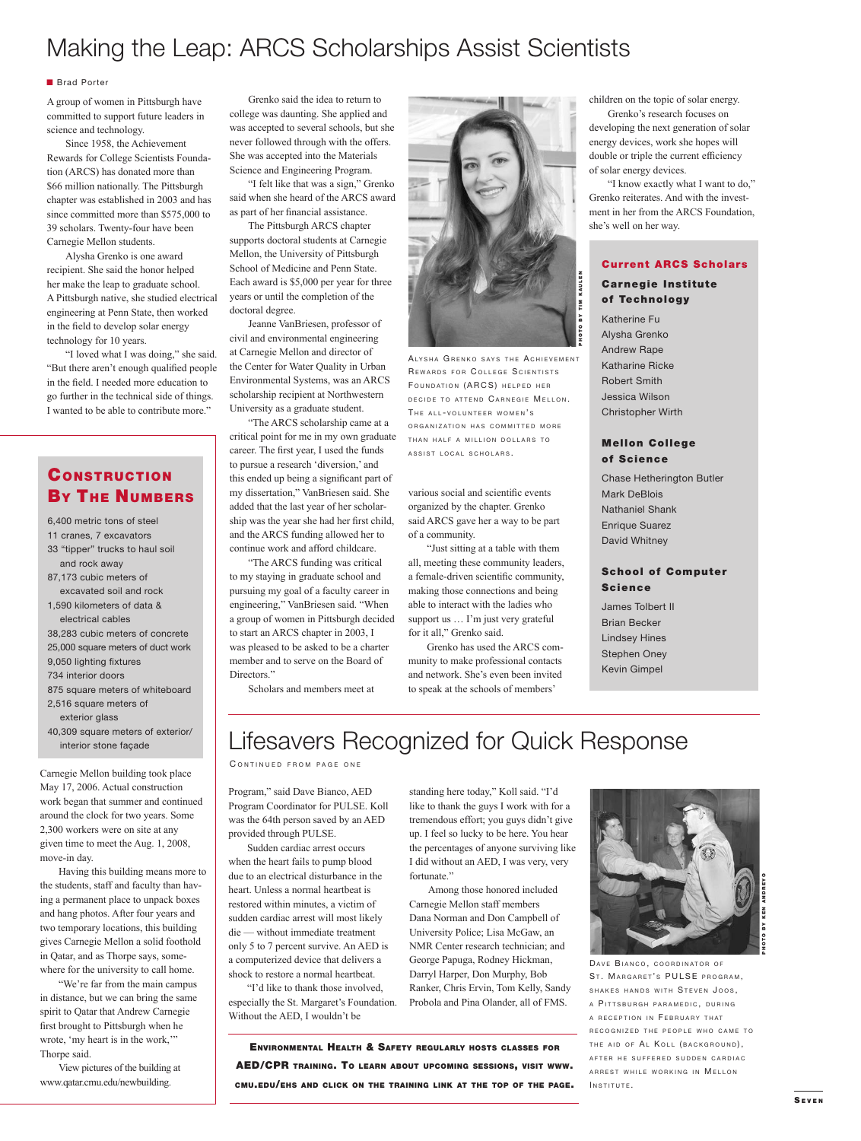### Making the Leap: ARCS Scholarships Assist Scientists

#### **Brad Porter**

A group of women in Pittsburgh have committed to support future leaders in science and technology.

 Since 1958, the Achievement Rewards for College Scientists Foundation (ARCS) has donated more than \$66 million nationally. The Pittsburgh chapter was established in 2003 and has since committed more than \$575,000 to 39 scholars. Twenty-four have been Carnegie Mellon students.

 Alysha Grenko is one award recipient. She said the honor helped her make the leap to graduate school. A Pittsburgh native, she studied electrical engineering at Penn State, then worked in the field to develop solar energy technology for 10 years.

 "I loved what I was doing," she said. "But there aren't enough qualified people in the field. I needed more education to go further in the technical side of things. I wanted to be able to contribute more."

### **CONSTRUCTION BY THE NUMBERS**

6,400 metric tons of steel 11 cranes, 7 excavators 33 "tipper" trucks to haul soil and rock away 87,173 cubic meters of excavated soil and rock 1,590 kilometers of data & electrical cables 38,283 cubic meters of concrete 25,000 square meters of duct work 9,050 lighting fixtures 734 interior doors 875 square meters of whiteboard 2,516 square meters of exterior glass 40,309 square meters of exterior/ interior stone façade

Carnegie Mellon building took place May 17, 2006. Actual construction work began that summer and continued around the clock for two years. Some 2,300 workers were on site at any given time to meet the Aug. 1, 2008, move-in day.

 Having this building means more to the students, staff and faculty than having a permanent place to unpack boxes and hang photos. After four years and two temporary locations, this building gives Carnegie Mellon a solid foothold in Qatar, and as Thorpe says, somewhere for the university to call home.

 "We're far from the main campus in distance, but we can bring the same spirit to Qatar that Andrew Carnegie first brought to Pittsburgh when he wrote, 'my heart is in the work,'" Thorpe said.

 View pictures of the building at www.qatar.cmu.edu/newbuilding.

 Grenko said the idea to return to college was daunting. She applied and was accepted to several schools, but she never followed through with the offers. She was accepted into the Materials Science and Engineering Program.

 "I felt like that was a sign," Grenko said when she heard of the ARCS award as part of her financial assistance.

 The Pittsburgh ARCS chapter supports doctoral students at Carnegie Mellon, the University of Pittsburgh School of Medicine and Penn State. Each award is \$5,000 per year for three years or until the completion of the doctoral degree.

 Jeanne VanBriesen, professor of civil and environmental engineering at Carnegie Mellon and director of the Center for Water Quality in Urban Environmental Systems, was an ARCS scholarship recipient at Northwestern University as a graduate student.

 "The ARCS scholarship came at a critical point for me in my own graduate career. The first year, I used the funds to pursue a research 'diversion,' and this ended up being a significant part of my dissertation," VanBriesen said. She added that the last year of her scholarship was the year she had her first child, and the ARCS funding allowed her to continue work and afford childcare.

 "The ARCS funding was critical to my staying in graduate school and pursuing my goal of a faculty career in engineering," VanBriesen said. "When a group of women in Pittsburgh decided to start an ARCS chapter in 2003, I was pleased to be asked to be a charter member and to serve on the Board of Directors."

Scholars and members meet at



ALYSHA GRENKO SAYS THE ACHIEVEMENT REWARDS FOR COLLEGE SCIENTISTS FOUNDATION (ARCS) HELPED HER DECIDE TO ATTEND CARNEGIE MELLON. THE ALL-VOLUNTEER WOMEN'S ORGANIZATION HAS COMMITTED MORE THAN HALF A MILLION DOLLARS TO ASSIST LOCAL SCHOLARS .

various social and scientific events organized by the chapter. Grenko said ARCS gave her a way to be part of a community.

 "Just sitting at a table with them all, meeting these community leaders, a female-driven scientific community, making those connections and being able to interact with the ladies who support us … I'm just very grateful for it all," Grenko said.

 Grenko has used the ARCS community to make professional contacts and network. She's even been invited to speak at the schools of members'

standing here today," Koll said. "I'd like to thank the guys I work with for a tremendous effort; you guys didn't give up. I feel so lucky to be here. You hear the percentages of anyone surviving like I did without an AED, I was very, very

Among those honored included

Carnegie Mellon staff members Dana Norman and Don Campbell of University Police; Lisa McGaw, an NMR Center research technician; and George Papuga, Rodney Hickman, Darryl Harper, Don Murphy, Bob Ranker, Chris Ervin, Tom Kelly, Sandy Probola and Pina Olander, all of FMS.

children on the topic of solar energy.

 Grenko's research focuses on developing the next generation of solar energy devices, work she hopes will double or triple the current efficiency of solar energy devices.

 "I know exactly what I want to do," Grenko reiterates. And with the investment in her from the ARCS Foundation, she's well on her way.

#### **Current ARCS Scholars**

#### **Carnegie Institute** of Technology

Katherine Fu Alysha Grenko Andrew Rape Katharine Ricke Robert Smith Jessica Wilson Christopher Wirth

#### **Mellon College** of Science

Chase Hetherington Butler Mark DeBlois Nathaniel Shank Enrique Suarez David Whitney

#### **School of Computer** Science

James Tolbert II Brian Becker Lindsey Hines Stephen Oney Kevin Gimpel

### Lifesavers Recognized for Quick Response

CONTINUED FROM PAGE ONE

Program," said Dave Bianco, AED Program Coordinator for PULSE. Koll was the 64th person saved by an AED provided through PULSE.

 Sudden cardiac arrest occurs when the heart fails to pump blood due to an electrical disturbance in the heart. Unless a normal heartbeat is restored within minutes, a victim of sudden cardiac arrest will most likely die — without immediate treatment only 5 to 7 percent survive. An AED is a computerized device that delivers a shock to restore a normal heartbeat.

 "I'd like to thank those involved, especially the St. Margaret's Foundation. Without the AED, I wouldn't be

ENVIRONMENTAL HEALTH & SAFETY REGULARLY HOSTS CLASSES FOR AED/CPR TRAINING. TO LEARN ABOUT UPCOMING SESSIONS, VISIT WWW. CMU.EDU/EHS AND CLICK ON THE TRAINING LINK AT THE TOP OF THE PAGE.

fortunate."



PHOTO BY KEN ANDREYO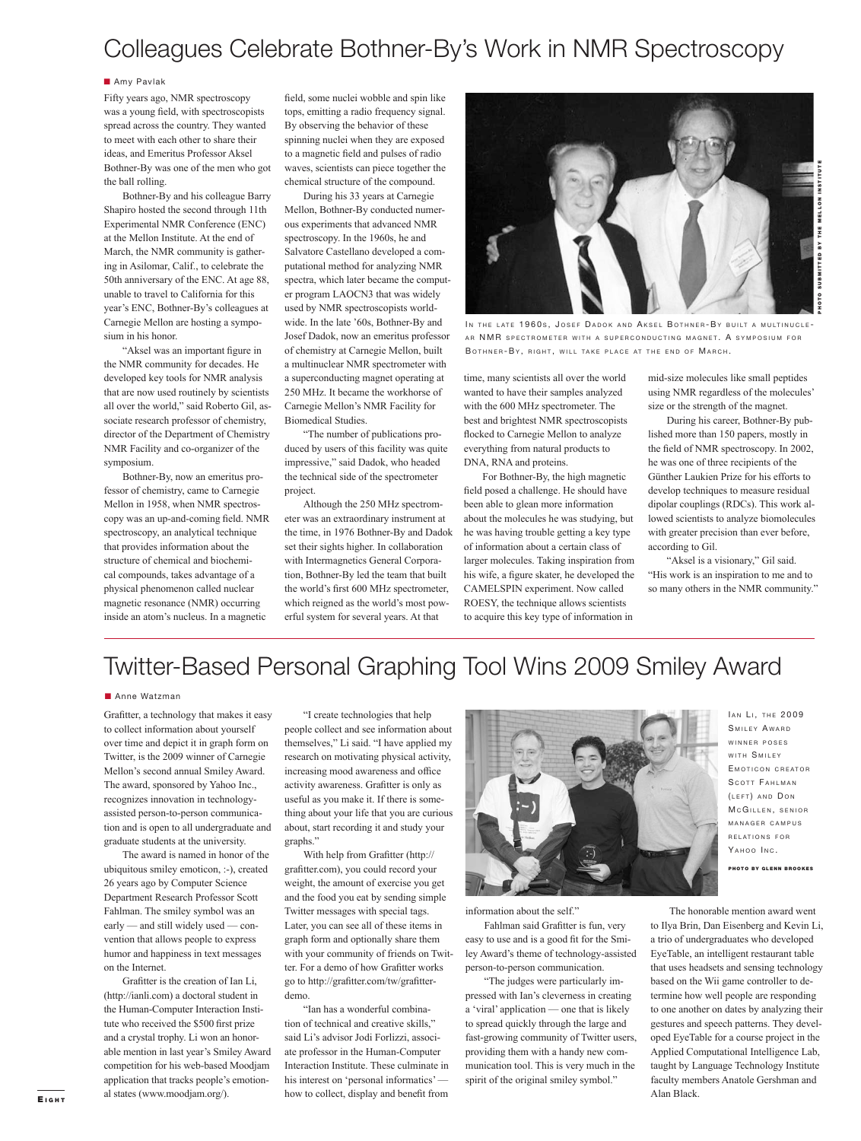## Colleagues Celebrate Bothner-By's Work in NMR Spectroscopy

#### **B** Amy Pavlak

Fifty years ago, NMR spectroscopy was a young field, with spectroscopists spread across the country. They wanted to meet with each other to share their ideas, and Emeritus Professor Aksel Bothner-By was one of the men who got the ball rolling.

 Bothner-By and his colleague Barry Shapiro hosted the second through 11th Experimental NMR Conference (ENC) at the Mellon Institute. At the end of March, the NMR community is gathering in Asilomar, Calif., to celebrate the 50th anniversary of the ENC. At age 88, unable to travel to California for this year's ENC, Bothner-By's colleagues at Carnegie Mellon are hosting a symposium in his honor.

"Aksel was an important figure in the NMR community for decades. He developed key tools for NMR analysis that are now used routinely by scientists all over the world," said Roberto Gil, associate research professor of chemistry, director of the Department of Chemistry NMR Facility and co-organizer of the symposium.

 Bothner-By, now an emeritus professor of chemistry, came to Carnegie Mellon in 1958, when NMR spectroscopy was an up-and-coming field. NMR spectroscopy, an analytical technique that provides information about the structure of chemical and biochemical compounds, takes advantage of a physical phenomenon called nuclear magnetic resonance (NMR) occurring inside an atom's nucleus. In a magnetic

field, some nuclei wobble and spin like tops, emitting a radio frequency signal. By observing the behavior of these spinning nuclei when they are exposed to a magnetic field and pulses of radio waves, scientists can piece together the chemical structure of the compound.

 During his 33 years at Carnegie Mellon, Bothner-By conducted numerous experiments that advanced NMR spectroscopy. In the 1960s, he and Salvatore Castellano developed a computational method for analyzing NMR spectra, which later became the computer program LAOCN3 that was widely used by NMR spectroscopists worldwide. In the late '60s, Bothner-By and Josef Dadok, now an emeritus professor of chemistry at Carnegie Mellon, built a multinuclear NMR spectrometer with a superconducting magnet operating at 250 MHz. It became the workhorse of Carnegie Mellon's NMR Facility for Biomedical Studies.

 "The number of publications produced by users of this facility was quite impressive," said Dadok, who headed the technical side of the spectrometer project.

 Although the 250 MHz spectrometer was an extraordinary instrument at the time, in 1976 Bothner-By and Dadok set their sights higher. In collaboration with Intermagnetics General Corporation, Bothner-By led the team that built the world's first 600 MHz spectrometer, which reigned as the world's most powerful system for several years. At that



IN THE LATE 1960S, JOSEF DADOK AND AKSEL BOTHNER-BY BUILT A MULTINUCLE-AR NMR SPECTROMETER WITH A SUPERCONDUCTING MAGNET. A SYMPOSIUM FOR BOTHNER-BY, RIGHT, WILL TAKE PLACE AT THE END OF MARCH.

time, many scientists all over the world wanted to have their samples analyzed with the 600 MHz spectrometer. The best and brightest NMR spectroscopists flocked to Carnegie Mellon to analyze everything from natural products to DNA, RNA and proteins.

 For Bothner-By, the high magnetic field posed a challenge. He should have been able to glean more information about the molecules he was studying, but he was having trouble getting a key type of information about a certain class of larger molecules. Taking inspiration from his wife, a figure skater, he developed the CAMELSPIN experiment. Now called ROESY, the technique allows scientists to acquire this key type of information in

mid-size molecules like small peptides using NMR regardless of the molecules' size or the strength of the magnet.

PHOTO SUBMITTED BY THE MELLON INSTITUTE

**SUBMITTED BY THE MELLON** 

 During his career, Bothner-By published more than 150 papers, mostly in the field of NMR spectroscopy. In 2002, he was one of three recipients of the Günther Laukien Prize for his efforts to develop techniques to measure residual dipolar couplings (RDCs). This work allowed scientists to analyze biomolecules with greater precision than ever before, according to Gil.

"Aksel is a visionary," Gil said. "His work is an inspiration to me and to so many others in the NMR community."

## Twitter-Based Personal Graphing Tool Wins 2009 Smiley Award

**Anne Watzman** 

Grafitter, a technology that makes it easy to collect information about yourself over time and depict it in graph form on Twitter, is the 2009 winner of Carnegie Mellon's second annual Smiley Award. The award, sponsored by Yahoo Inc., recognizes innovation in technologyassisted person-to-person communication and is open to all undergraduate and graduate students at the university.

 The award is named in honor of the ubiquitous smiley emoticon, :-), created 26 years ago by Computer Science Department Research Professor Scott Fahlman. The smiley symbol was an early — and still widely used — convention that allows people to express humor and happiness in text messages on the Internet.

Grafitter is the creation of Ian Li, (http://ianli.com) a doctoral student in the Human-Computer Interaction Institute who received the \$500 first prize and a crystal trophy. Li won an honorable mention in last year's Smiley Award competition for his web-based Moodjam application that tracks people's emotional states (www.moodjam.org/).

 "I create technologies that help people collect and see information about themselves," Li said. "I have applied my research on motivating physical activity, increasing mood awareness and office activity awareness. Grafitter is only as useful as you make it. If there is something about your life that you are curious about, start recording it and study your graphs."

With help from Grafitter (http:// grafitter.com), you could record your weight, the amount of exercise you get and the food you eat by sending simple Twitter messages with special tags. Later, you can see all of these items in graph form and optionally share them with your community of friends on Twitter. For a demo of how Grafitter works go to http://grafitter.com/tw/grafitterdemo.

 "Ian has a wonderful combination of technical and creative skills," said Li's advisor Jodi Forlizzi, associate professor in the Human-Computer Interaction Institute. These culminate in his interest on 'personal informatics' how to collect, display and benefit from



information about the self."

Fahlman said Grafitter is fun, very easy to use and is a good fit for the Smiley Award's theme of technology-assisted person-to-person communication.

 "The judges were particularly impressed with Ian's cleverness in creating a 'viral' application — one that is likely to spread quickly through the large and fast-growing community of Twitter users, providing them with a handy new communication tool. This is very much in the spirit of the original smiley symbol."

IAN LI, THE 2009 SMILEY AWARD WINNER POSES WITH SMILEY EMOTICON CREATOR SCOTT FAHLMAN (LEFT) AND DON MCGILLEN, SENIOR MANAGER CAMPUS RELATIONS FOR YAHOO INC.

PHOTO BY GLENN BROOKES

 The honorable mention award went to Ilya Brin, Dan Eisenberg and Kevin Li, a trio of undergraduates who developed EyeTable, an intelligent restaurant table that uses headsets and sensing technology based on the Wii game controller to determine how well people are responding to one another on dates by analyzing their gestures and speech patterns. They developed EyeTable for a course project in the Applied Computational Intelligence Lab, taught by Language Technology Institute faculty members Anatole Gershman and Alan Black.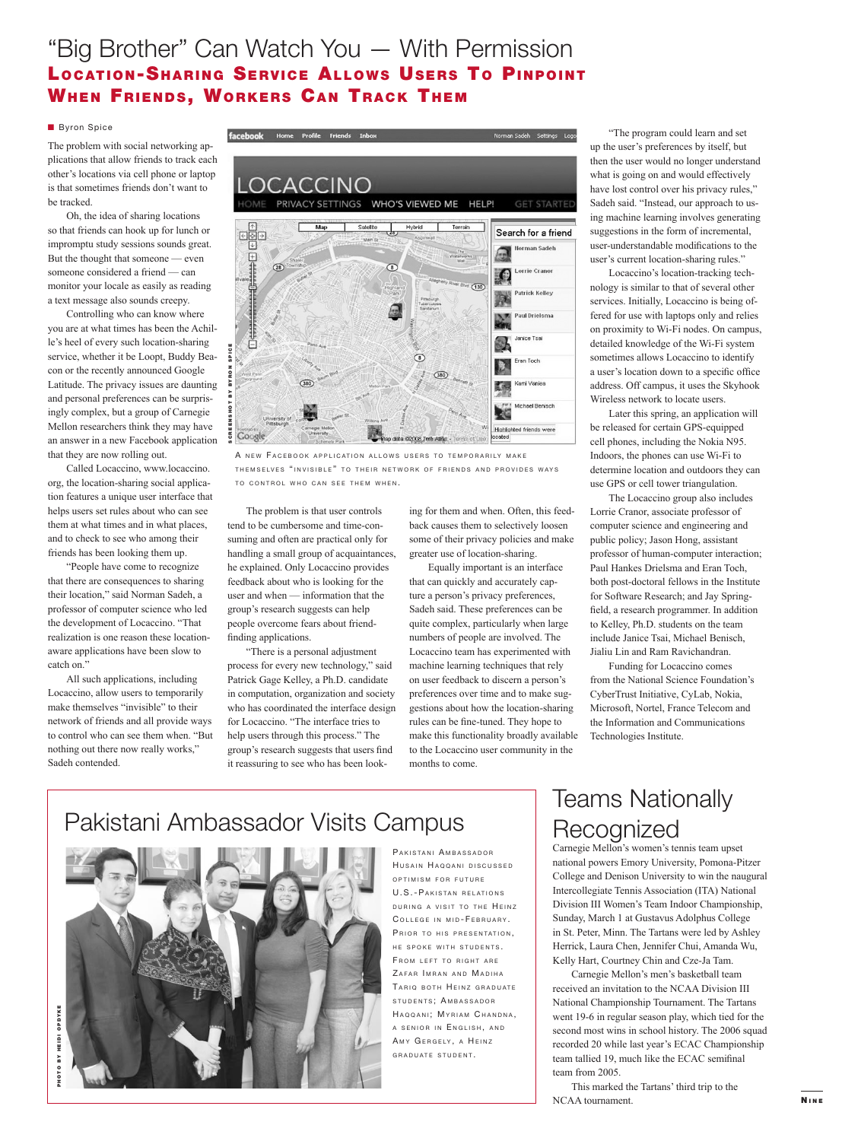### "Big Brother" Can Watch You — With Permission LOCATION-SHARING SERVICE ALLOWS USERS TO PINPOINT **WHEN FRIENDS, WORKERS CAN TRACK THEM**

#### **Byron Spice**

The problem with social networking applications that allow friends to track each other's locations via cell phone or laptop is that sometimes friends don't want to be tracked.

 Oh, the idea of sharing locations so that friends can hook up for lunch or impromptu study sessions sounds great. But the thought that someone — even someone considered a friend — can monitor your locale as easily as reading a text message also sounds creepy.

 Controlling who can know where you are at what times has been the Achille's heel of every such location-sharing service, whether it be Loopt, Buddy Beacon or the recently announced Google Latitude. The privacy issues are daunting and personal preferences can be surprisingly complex, but a group of Carnegie Mellon researchers think they may have an answer in a new Facebook application that they are now rolling out.

 Called Locaccino, www.locaccino. org, the location-sharing social application features a unique user interface that helps users set rules about who can see them at what times and in what places, and to check to see who among their friends has been looking them up.

 "People have come to recognize that there are consequences to sharing their location," said Norman Sadeh, a professor of computer science who led the development of Locaccino. "That realization is one reason these locationaware applications have been slow to catch on."

 All such applications, including Locaccino, allow users to temporarily make themselves "invisible" to their network of friends and all provide ways to control who can see them when. "But nothing out there now really works," Sadeh contended.



A NEW FACEBOOK APPLICATION ALLOWS USERS TO TEMPORARILY MAKE THEMSELVES "INVISIBLE" TO THEIR NETWORK OF FRIENDS AND PROVIDES WAYS TO CONTROL WHO CAN SEE THEM WHEN.

 The problem is that user controls tend to be cumbersome and time-consuming and often are practical only for handling a small group of acquaintances, he explained. Only Locaccino provides feedback about who is looking for the user and when — information that the group's research suggests can help people overcome fears about friend finding applications.

 "There is a personal adjustment process for every new technology," said Patrick Gage Kelley, a Ph.D. candidate in computation, organization and society who has coordinated the interface design for Locaccino. "The interface tries to help users through this process." The group's research suggests that users find it reassuring to see who has been look-

ing for them and when. Often, this feedback causes them to selectively loosen some of their privacy policies and make greater use of location-sharing.

 Equally important is an interface that can quickly and accurately capture a person's privacy preferences, Sadeh said. These preferences can be quite complex, particularly when large numbers of people are involved. The Locaccino team has experimented with machine learning techniques that rely on user feedback to discern a person's preferences over time and to make suggestions about how the location-sharing rules can be fine-tuned. They hope to make this functionality broadly available to the Locaccino user community in the months to come.

 "The program could learn and set up the user's preferences by itself, but then the user would no longer understand what is going on and would effectively have lost control over his privacy rules," Sadeh said. "Instead, our approach to using machine learning involves generating suggestions in the form of incremental, user-understandable modifications to the user's current location-sharing rules."

 Locaccino's location-tracking technology is similar to that of several other services. Initially, Locaccino is being offered for use with laptops only and relies on proximity to Wi-Fi nodes. On campus, detailed knowledge of the Wi-Fi system sometimes allows Locaccino to identify a user's location down to a specific office address. Off campus, it uses the Skyhook Wireless network to locate users.

 Later this spring, an application will be released for certain GPS-equipped cell phones, including the Nokia N95. Indoors, the phones can use Wi-Fi to determine location and outdoors they can use GPS or cell tower triangulation.

 The Locaccino group also includes Lorrie Cranor, associate professor of computer science and engineering and public policy; Jason Hong, assistant professor of human-computer interaction; Paul Hankes Drielsma and Eran Toch, both post-doctoral fellows in the Institute for Software Research; and Jay Spring field, a research programmer. In addition to Kelley, Ph.D. students on the team include Janice Tsai, Michael Benisch, Jialiu Lin and Ram Ravichandran.

 Funding for Locaccino comes from the National Science Foundation's CyberTrust Initiative, CyLab, Nokia, Microsoft, Nortel, France Telecom and the Information and Communications Technologies Institute.

## Pakistani Ambassador Visits Campus



PAKISTANI AMBASSADOR HUSAIN HAQQANI DISCUSSED OPTIMISM FOR FUTURE U.S.-PAKISTAN RELATIONS DURING A VISIT TO THE HEINZ COLLEGE IN MID-FEBRUARY. PRIOR TO HIS PRESENTATION. HE SPOKE WITH STUDENTS FROM LEFT TO RIGHT ARE ZAFAR IMRAN AND MADIHA TARIQ BOTH HEINZ GRADUATE STUDENTS; AMBASSADOR HAQQANI; MYRIAM CHANDNA, A SENIOR IN ENGLISH, AND AMY GERGELY, A HEINZ GRADUATE STUDENT.

### Teams Nationally Recognized

Carnegie Mellon's women's tennis team upset national powers Emory University, Pomona-Pitzer College and Denison University to win the naugural Intercollegiate Tennis Association (ITA) National Division III Women's Team Indoor Championship, Sunday, March 1 at Gustavus Adolphus College in St. Peter, Minn. The Tartans were led by Ashley Herrick, Laura Chen, Jennifer Chui, Amanda Wu, Kelly Hart, Courtney Chin and Cze-Ja Tam.

 Carnegie Mellon's men's basketball team received an invitation to the NCAA Division III National Championship Tournament. The Tartans went 19-6 in regular season play, which tied for the second most wins in school history. The 2006 squad recorded 20 while last year's ECAC Championship team tallied 19, much like the ECAC semifinal team from 2005.

 This marked the Tartans' third trip to the NCAA tournament.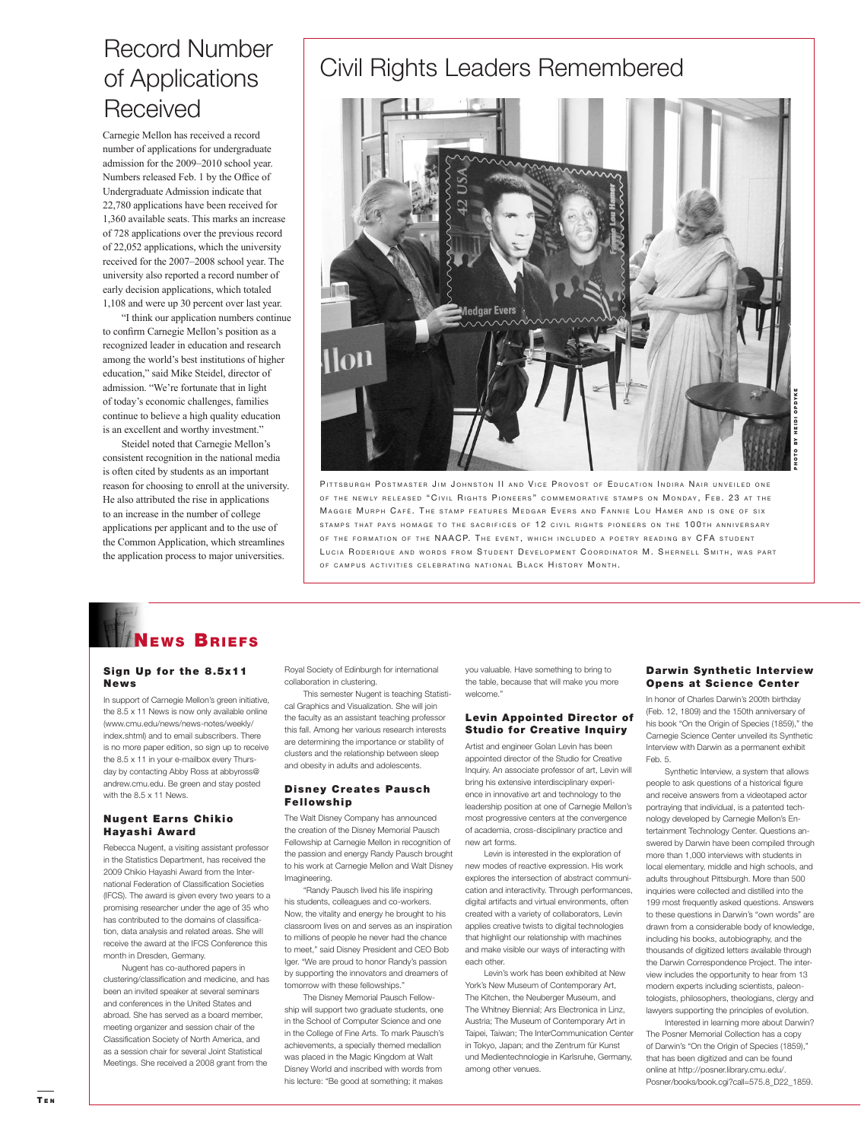### Record Number of Applications **Received**

Carnegie Mellon has received a record number of applications for undergraduate admission for the 2009–2010 school year. Numbers released Feb. 1 by the Office of Undergraduate Admission indicate that 22,780 applications have been received for 1,360 available seats. This marks an increase of 728 applications over the previous record of 22,052 applications, which the university received for the 2007–2008 school year. The university also reported a record number of early decision applications, which totaled 1,108 and were up 30 percent over last year.

 "I think our application numbers continue to confirm Carnegie Mellon's position as a recognized leader in education and research among the world's best institutions of higher education," said Mike Steidel, director of admission. "We're fortunate that in light of today's economic challenges, families continue to believe a high quality education is an excellent and worthy investment."

 Steidel noted that Carnegie Mellon's consistent recognition in the national media is often cited by students as an important reason for choosing to enroll at the university. He also attributed the rise in applications to an increase in the number of college applications per applicant and to the use of the Common Application, which streamlines the application process to major universities.

## Civil Rights Leaders Remembered



PITTSBURGH POSTMASTER JIM JOHNSTON II AND VICE PROVOST OF EDUCATION INDIRA NAIR UNVEILED ONE OF THE NEWLY RELEASED "CIVIL RIGHTS PIONEERS" COMMEMORATIVE STAMPS ON MONDAY, FEB. 23 AT THE MAGGIE MURPH CAFÉ. THE STAMP FEATURES MEDGAR EVERS AND FANNIE LOU HAMER AND IS ONE OF SIX STAMPS THAT PAYS HOMAGE TO THE SACRIFICES OF 12 CIVIL RIGHTS PIONEERS ON THE 100TH ANNIVERSARY OF THE FORMATION OF THE NAACP. THE EVENT, WHICH INCLUDED A POETRY READING BY CFA STUDENT LUCIA RODERIQUE AND WORDS FROM STUDENT DEVELOPMENT COORDINATOR M. SHERNELL SMITH, WAS PART OF CAMPUS ACTIVITIES CELEBRATING NATIONAL BLACK HISTORY MONTH.

## NEWS BRIEFS

#### Sign Up for the 8.5x11 News

In support of Carnegie Mellon's green initiative, the 8.5 x 11 News is now only available online (www.cmu.edu/news/news-notes/weekly/ index.shtml) and to email subscribers. There is no more paper edition, so sign up to receive the 8.5 x 11 in your e-mailbox every Thursday by contacting Abby Ross at abbyross@ andrew.cmu.edu. Be green and stay posted with the 8.5 x 11 News.

#### **Nugent Earns Chikio** Hayashi Award

Rebecca Nugent, a visiting assistant professor in the Statistics Department, has received the 2009 Chikio Hayashi Award from the International Federation of Classification Societies (IFCS). The award is given every two years to a promising researcher under the age of 35 who has contributed to the domains of classification, data analysis and related areas. She will ve the award at the IFCS Conference this month in Dresden, Germany.

 Nugent has co-authored papers in clustering/classification and medicine, and has been an invited speaker at several seminars and conferences in the United States and abroad. She has served as a board member, meeting organizer and session chair of the Classification Society of North America, and as a session chair for several Joint Statistical Meetings. She received a 2008 grant from the

Royal Society of Edinburgh for international collaboration in clustering.

 This semester Nugent is teaching Statistical Graphics and Visualization. She will join the faculty as an assistant teaching professor this fall. Among her various research interests are determining the importance or stability of clusters and the relationship between sleep and obesity in adults and adolescents.

#### **Disney Creates Pausch** Fellowship

The Walt Disney Company has announced the creation of the Disney Memorial Pausch Fellowship at Carnegie Mellon in recognition of the passion and energy Randy Pausch brought to his work at Carnegie Mellon and Walt Disney Imagineering.

 "Randy Pausch lived his life inspiring his students, colleagues and co-workers. Now, the vitality and energy he brought to his classroom lives on and serves as an inspiration to millions of people he never had the chance to meet," said Disney President and CEO Bob Iger. "We are proud to honor Randy's passion by supporting the innovators and dreamers of tomorrow with these fellowships."

 The Disney Memorial Pausch Fellowship will support two graduate students, one in the School of Computer Science and one in the College of Fine Arts. To mark Pausch's achievements, a specially themed medallion was placed in the Magic Kingdom at Walt Disney World and inscribed with words from his lecture: "Be good at something; it makes

you valuable. Have something to bring to the table, because that will make you more welcome."

#### Levin Appointed Director of Studio for Creative Inquiry

Artist and engineer Golan Levin has been appointed director of the Studio for Creative Inquiry. An associate professor of art, Levin will bring his extensive interdisciplinary experience in innovative art and technology to the leadership position at one of Carnegie Mellon's most progressive centers at the convergence of academia, cross-disciplinary practice and new art forms.

 Levin is interested in the exploration of new modes of reactive expression. His work explores the intersection of abstract communication and interactivity. Through performances, digital artifacts and virtual environments, often created with a variety of collaborators, Levin applies creative twists to digital technologies that highlight our relationship with machines and make visible our ways of interacting with each other.

 Levin's work has been exhibited at New York's New Museum of Contemporary Art, The Kitchen, the Neuberger Museum, and The Whitney Biennial; Ars Electronica in Linz, Austria; The Museum of Contemporary Art in Taipei, Taiwan; The InterCommunication Center in Tokyo, Japan; and the Zentrum für Kunst und Medientechnologie in Karlsruhe, Germany, among other venues.

#### Darwin Synthetic Interview Opens at Science Center

In honor of Charles Darwin's 200th birthday (Feb. 12, 1809) and the 150th anniversary of his book "On the Origin of Species (1859)," the Carnegie Science Center unveiled its Synthetic Interview with Darwin as a permanent exhibit Feb. 5.

 Synthetic Interview, a system that allows people to ask questions of a historical figure and receive answers from a videotaped actor portraying that individual, is a patented technology developed by Carnegie Mellon's Entertainment Technology Center. Questions answered by Darwin have been compiled through more than 1,000 interviews with students in local elementary, middle and high schools, and adults throughout Pittsburgh. More than 500 inquiries were collected and distilled into the 199 most frequently asked questions. Answers to these questions in Darwin's "own words" are drawn from a considerable body of knowledge, including his books, autobiography, and the thousands of digitized letters available through the Darwin Correspondence Project. The interview includes the opportunity to hear from 13 modern experts including scientists, paleontologists, philosophers, theologians, clergy and lawyers supporting the principles of evolution.

 Interested in learning more about Darwin? The Posner Memorial Collection has a copy of Darwin's "On the Origin of Species (1859)," that has been digitized and can be found online at http://posner.library.cmu.edu/. Posner/books/book.cgi?call=575.8\_D22\_1859.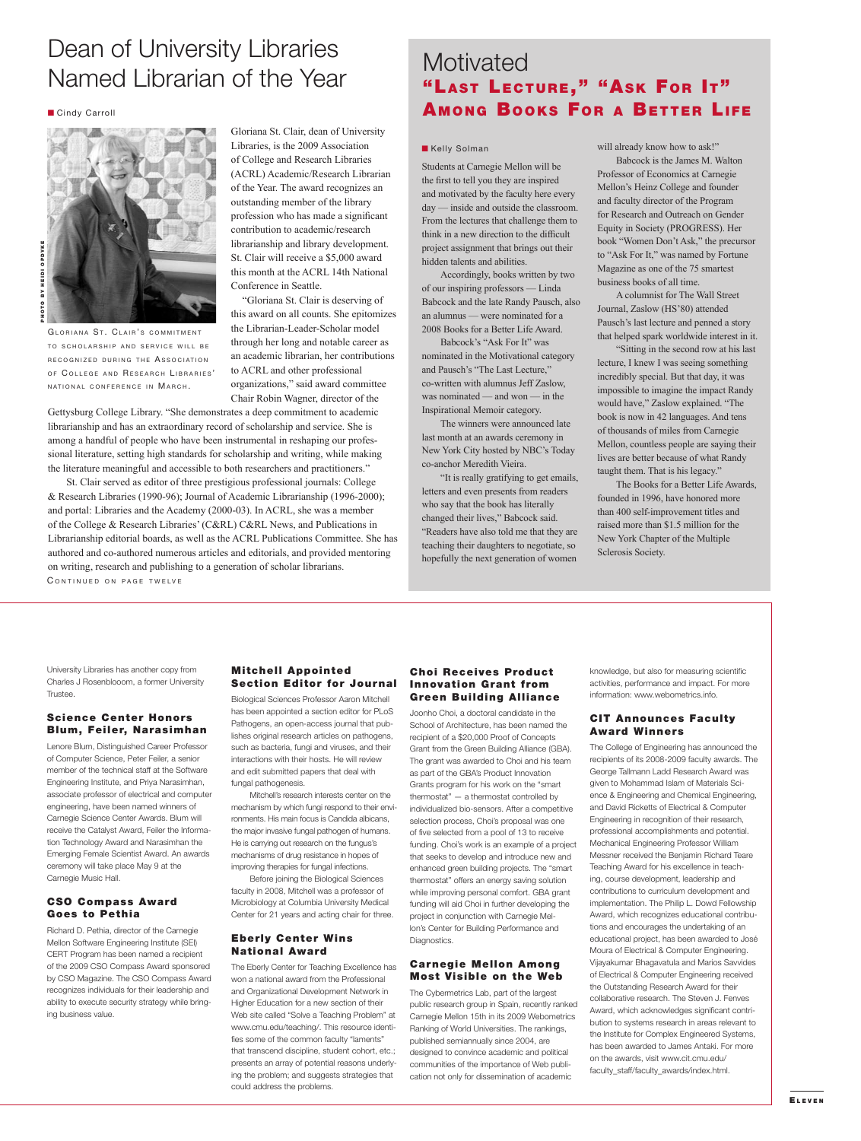### Dean of University Libraries Named Librarian of the Year

**Cindy Carroll** 



GLORIANA ST. CLAIR'S COMMITMENT TO SCHOLARSHIP AND SERVICE WILL BE RECOGNIZED DURING THE ASSOCIATION OF COLLEGE AND RESEARCH LIBRARIES' NATIONAL CONFERENCE IN MARCH.

Gloriana St. Clair, dean of University Libraries, is the 2009 Association of College and Research Libraries (ACRL) Academic/Research Librarian of the Year. The award recognizes an outstanding member of the library profession who has made a significant contribution to academic/research librarianship and library development. St. Clair will receive a \$5,000 award this month at the ACRL 14th National Conference in Seattle.

 "Gloriana St. Clair is deserving of this award on all counts. She epitomizes the Librarian-Leader-Scholar model through her long and notable career as an academic librarian, her contributions to ACRL and other professional organizations," said award committee Chair Robin Wagner, director of the

Gettysburg College Library. "She demonstrates a deep commitment to academic librarianship and has an extraordinary record of scholarship and service. She is among a handful of people who have been instrumental in reshaping our professional literature, setting high standards for scholarship and writing, while making the literature meaningful and accessible to both researchers and practitioners."

 St. Clair served as editor of three prestigious professional journals: College & Research Libraries (1990-96); Journal of Academic Librarianship (1996-2000); and portal: Libraries and the Academy (2000-03). In ACRL, she was a member of the College & Research Libraries' (C&RL) C&RL News, and Publications in Librarianship editorial boards, as well as the ACRL Publications Committee. She has authored and co-authored numerous articles and editorials, and provided mentoring on writing, research and publishing to a generation of scholar librarians. CONTINUED ON PAGE TWELVE

### **Motivated** "LAST LECTURE," "ASK FOR IT" **AMONG BOOKS FOR A BETTER LIFE**

#### **Kelly Solman**

Students at Carnegie Mellon will be the first to tell you they are inspired and motivated by the faculty here every day — inside and outside the classroom. From the lectures that challenge them to think in a new direction to the difficult project assignment that brings out their hidden talents and abilities.

 Accordingly, books written by two of our inspiring professors — Linda Babcock and the late Randy Pausch, also an alumnus — were nominated for a 2008 Books for a Better Life Award.

 Babcock's "Ask For It" was nominated in the Motivational category and Pausch's "The Last Lecture," co-written with alumnus Jeff Zaslow, was nominated — and won — in the Inspirational Memoir category.

 The winners were announced late last month at an awards ceremony in New York City hosted by NBC's Today co-anchor Meredith Vieira.

 "It is really gratifying to get emails, letters and even presents from readers who say that the book has literally changed their lives," Babcock said. "Readers have also told me that they are teaching their daughters to negotiate, so hopefully the next generation of women

will already know how to ask!"

 Babcock is the James M. Walton Professor of Economics at Carnegie Mellon's Heinz College and founder and faculty director of the Program for Research and Outreach on Gender Equity in Society (PROGRESS). Her book "Women Don't Ask," the precursor to "Ask For It," was named by Fortune Magazine as one of the 75 smartest business books of all time.

 A columnist for The Wall Street Journal, Zaslow (HS'80) attended Pausch's last lecture and penned a story that helped spark worldwide interest in it.

 "Sitting in the second row at his last lecture, I knew I was seeing something incredibly special. But that day, it was impossible to imagine the impact Randy would have," Zaslow explained. "The book is now in 42 languages. And tens of thousands of miles from Carnegie Mellon, countless people are saying their lives are better because of what Randy taught them. That is his legacy."

 The Books for a Better Life Awards, founded in 1996, have honored more than 400 self-improvement titles and raised more than \$1.5 million for the New York Chapter of the Multiple Sclerosis Society.

University Libraries has another copy from Charles J Rosenblooom, a former University **Trustee.** 

#### Science Center Honors Blum, Feiler, Narasimhan

Lenore Blum, Distinguished Career Professor of Computer Science, Peter Feiler, a senior member of the technical staff at the Software Engineering Institute, and Priya Narasimhan, associate professor of electrical and computer engineering, have been named winners of Carnegie Science Center Awards. Blum will receive the Catalyst Award, Feiler the Information Technology Award and Narasimhan the Emerging Female Scientist Award. An awards ceremony will take place May 9 at the Carnegie Music Hall.

#### CSO Compass Award Goes to Pethia

Richard D. Pethia, director of the Carnegie Mellon Software Engineering Institute (SEI) CERT Program has been named a recipient of the 2009 CSO Compass Award sponsored by CSO Magazine. The CSO Compass Award recognizes individuals for their leadership and ability to execute security strategy while bringing business value.

#### **Mitchell Appointed** Section Editor for Journal

Biological Sciences Professor Aaron Mitchell has been appointed a section editor for PLoS Pathogens, an open-access journal that publishes original research articles on pathogens, such as bacteria, fungi and viruses, and their interactions with their hosts. He will review and edit submitted papers that deal with fungal pathogenesis.

 Mitchell's research interests center on the mechanism by which fungi respond to their environments. His main focus is Candida albicans, the major invasive fungal pathogen of humans. He is carrying out research on the fungus's mechanisms of drug resistance in hopes of improving therapies for fungal infections.

 Before joining the Biological Sciences faculty in 2008, Mitchell was a professor of Microbiology at Columbia University Medical Center for 21 years and acting chair for three.

#### **Eberly Center Wins National Award**

The Eberly Center for Teaching Excellence has won a national award from the Professional and Organizational Development Network in Higher Education for a new section of their Web site called "Solve a Teaching Problem" at www.cmu.edu/teaching/. This resource identifies some of the common faculty "laments" that transcend discipline, student cohort, etc.; presents an array of potential reasons underlying the problem; and suggests strategies that could address the problems.

#### **Choi Receives Product Innovation Grant from Green Building Alliance**

Joonho Choi, a doctoral candidate in the School of Architecture, has been named the recipient of a \$20,000 Proof of Concepts Grant from the Green Building Alliance (GBA). The grant was awarded to Choi and his team as part of the GBA's Product Innovation Grants program for his work on the "smart thermostat" — a thermostat controlled by individualized bio-sensors. After a competitive selection process, Choi's proposal was one of five selected from a pool of 13 to receive funding. Choi's work is an example of a project that seeks to develop and introduce new and enhanced green building projects. The "smart thermostat" offers an energy saving solution while improving personal comfort. GBA grant funding will aid Choi in further developing the project in conjunction with Carnegie Mellon's Center for Building Performance and Diagnostics.

#### **Carnegie Mellon Among Most Visible on the Web**

The Cybermetrics Lab, part of the largest public research group in Spain, recently ranked Carnegie Mellon 15th in its 2009 Webometrics Ranking of World Universities. The rankings, published semiannually since 2004, are designed to convince academic and political communities of the importance of Web publication not only for dissemination of academic

knowledge, but also for measuring scientific activities, performance and impact. For more information: www.webometrics.info.

#### **CIT Announces Faculty Award Winners**

The College of Engineering has announced the recipients of its 2008-2009 faculty awards. The George Tallmann Ladd Research Award was given to Mohammad Islam of Materials Science & Engineering and Chemical Engineering, and David Ricketts of Electrical & Computer Engineering in recognition of their research, professional accomplishments and potential. Mechanical Engineering Professor William Messner received the Benjamin Richard Teare Teaching Award for his excellence in teaching, course development, leadership and contributions to curriculum development and implementation. The Philip L. Dowd Fellowship Award, which recognizes educational contributions and encourages the undertaking of an educational project, has been awarded to José Moura of Electrical & Computer Engineering. Vijayakumar Bhagavatula and Marios Savvides of Electrical & Computer Engineering received the Outstanding Research Award for their collaborative research. The Steven J. Fenves Award, which acknowledges significant contribution to systems research in areas relevant to the Institute for Complex Engineered Systems, has been awarded to James Antaki. For more on the awards, visit www.cit.cmu.edu/ faculty\_staff/faculty\_awards/index.html.